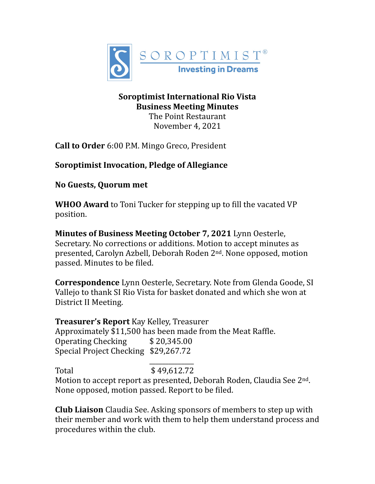

# **Soroptimist International Rio Vista Business Meeting Minutes**

The Point Restaurant November 4, 2021

**Call to Order** 6:00 P.M. Mingo Greco, President

# **Soroptimist Invocation, Pledge of Allegiance**

# **No Guests, Quorum met**

**WHOO Award** to Toni Tucker for stepping up to fill the vacated VP position.

**Minutes of Business Meeting October 7, 2021** Lynn Oesterle, Secretary. No corrections or additions. Motion to accept minutes as presented, Carolyn Azbell, Deborah Roden 2<sup>nd</sup>. None opposed, motion passed. Minutes to be filed.

**Correspondence** Lynn Oesterle, Secretary. Note from Glenda Goode, SI Vallejo to thank SI Rio Vista for basket donated and which she won at District II Meeting.

**Treasurer's Report** Kay Kelley, Treasurer Approximately \$11,500 has been made from the Meat Raffle. Operating Checking  $$20,345.00$ Special Project Checking \$29,267.72

 $\overline{\phantom{a}}$  , and the contract of the contract of the contract of the contract of the contract of the contract of the contract of the contract of the contract of the contract of the contract of the contract of the contrac Total \$ 49,612.72 Motion to accept report as presented, Deborah Roden, Claudia See 2<sup>nd</sup>. None opposed, motion passed. Report to be filed.

**Club Liaison** Claudia See. Asking sponsors of members to step up with their member and work with them to help them understand process and procedures within the club.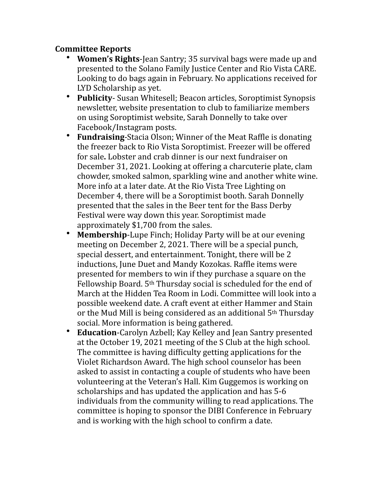## **Committee Reports**

- **Women's Rights-Jean Santry; 35 survival bags were made up and** presented to the Solano Family Justice Center and Rio Vista CARE. Looking to do bags again in February. No applications received for LYD Scholarship as yet.
- **Publicity** Susan Whitesell; Beacon articles, Soroptimist Synopsis newsletter, website presentation to club to familiarize members on using Soroptimist website, Sarah Donnelly to take over Facebook/Instagram posts.
- Fundraising-Stacia Olson; Winner of the Meat Raffle is donating the freezer back to Rio Vista Soroptimist. Freezer will be offered for sale. Lobster and crab dinner is our next fundraiser on December 31, 2021. Looking at offering a charcuterie plate, clam chowder, smoked salmon, sparkling wine and another white wine. More info at a later date. At the Rio Vista Tree Lighting on December 4, there will be a Soroptimist booth. Sarah Donnelly presented that the sales in the Beer tent for the Bass Derby Festival were way down this year. Soroptimist made approximately  $$1,700$  from the sales.
- Membership-Lupe Finch; Holiday Party will be at our evening meeting on December 2, 2021. There will be a special punch, special dessert, and entertainment. Tonight, there will be 2 inductions, June Duet and Mandy Kozokas. Raffle items were presented for members to win if they purchase a square on the Fellowship Board.  $5<sup>th</sup>$  Thursday social is scheduled for the end of March at the Hidden Tea Room in Lodi. Committee will look into a possible weekend date. A craft event at either Hammer and Stain or the Mud Mill is being considered as an additional  $5<sup>th</sup>$  Thursday social. More information is being gathered.
- **Education-Carolyn Azbell; Kay Kelley and Jean Santry presented** at the October 19, 2021 meeting of the S Club at the high school. The committee is having difficulty getting applications for the Violet Richardson Award. The high school counselor has been asked to assist in contacting a couple of students who have been volunteering at the Veteran's Hall. Kim Guggemos is working on scholarships and has updated the application and has 5-6 individuals from the community willing to read applications. The committee is hoping to sponsor the DIBI Conference in February and is working with the high school to confirm a date.